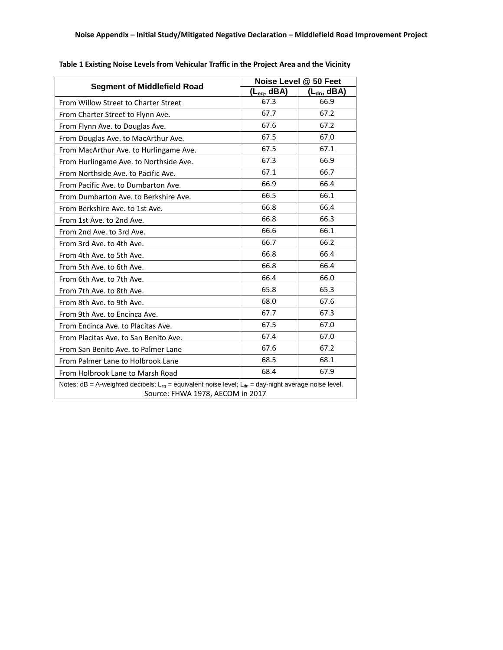|                                                                                                                                                   | Noise Level @ 50 Feet |                 |  |  |  |  |  |
|---------------------------------------------------------------------------------------------------------------------------------------------------|-----------------------|-----------------|--|--|--|--|--|
| <b>Segment of Middlefield Road</b>                                                                                                                | $(L_{eq}, dBA)$       | $(L_{dn}, dBA)$ |  |  |  |  |  |
| From Willow Street to Charter Street                                                                                                              | 67.3                  | 66.9            |  |  |  |  |  |
| From Charter Street to Flynn Ave.                                                                                                                 | 67.7                  | 67.2            |  |  |  |  |  |
| From Flynn Ave. to Douglas Ave.                                                                                                                   | 67.6                  | 67.2            |  |  |  |  |  |
| From Douglas Ave. to MacArthur Ave.                                                                                                               | 67.5                  | 67.0            |  |  |  |  |  |
| From MacArthur Ave. to Hurlingame Ave.                                                                                                            | 67.5                  | 67.1            |  |  |  |  |  |
| From Hurlingame Ave. to Northside Ave.                                                                                                            | 67.3                  | 66.9            |  |  |  |  |  |
| From Northside Ave. to Pacific Ave.                                                                                                               | 67.1                  | 66.7            |  |  |  |  |  |
| From Pacific Ave. to Dumbarton Ave.                                                                                                               | 66.9                  | 66.4            |  |  |  |  |  |
| From Dumbarton Ave. to Berkshire Ave.                                                                                                             | 66.5                  | 66.1            |  |  |  |  |  |
| From Berkshire Ave. to 1st Ave.                                                                                                                   | 66.8                  | 66.4            |  |  |  |  |  |
| From 1st Ave. to 2nd Ave.                                                                                                                         | 66.8                  | 66.3            |  |  |  |  |  |
| From 2nd Ave. to 3rd Ave.                                                                                                                         | 66.6                  | 66.1            |  |  |  |  |  |
| From 3rd Ave. to 4th Ave.                                                                                                                         | 66.7                  | 66.2            |  |  |  |  |  |
| From 4th Ave. to 5th Ave.                                                                                                                         | 66.8                  | 66.4            |  |  |  |  |  |
| From 5th Ave. to 6th Ave.                                                                                                                         | 66.8                  | 66.4            |  |  |  |  |  |
| From 6th Ave. to 7th Ave.                                                                                                                         | 66.4                  | 66.0            |  |  |  |  |  |
| From 7th Ave. to 8th Ave.                                                                                                                         | 65.8                  | 65.3            |  |  |  |  |  |
| From 8th Ave. to 9th Ave.                                                                                                                         | 68.0                  | 67.6            |  |  |  |  |  |
| From 9th Ave. to Encinca Ave.                                                                                                                     | 67.7                  | 67.3            |  |  |  |  |  |
| From Encinca Ave. to Placitas Ave.                                                                                                                | 67.5                  | 67.0            |  |  |  |  |  |
| From Placitas Ave. to San Benito Ave.                                                                                                             | 67.4                  | 67.0            |  |  |  |  |  |
| From San Benito Ave. to Palmer Lane                                                                                                               | 67.6                  | 67.2            |  |  |  |  |  |
| From Palmer Lane to Holbrook Lane                                                                                                                 | 68.5                  | 68.1            |  |  |  |  |  |
| From Holbrook Lane to Marsh Road                                                                                                                  | 68.4                  | 67.9            |  |  |  |  |  |
| Notes: dB = A-weighted decibels; $L_{eq}$ = equivalent noise level; $L_{dn}$ = day-night average noise level.<br>Source: FHWA 1978, AECOM in 2017 |                       |                 |  |  |  |  |  |

## **Table 1 Existing Noise Levels from Vehicular Traffic in the Project Area and the Vicinity**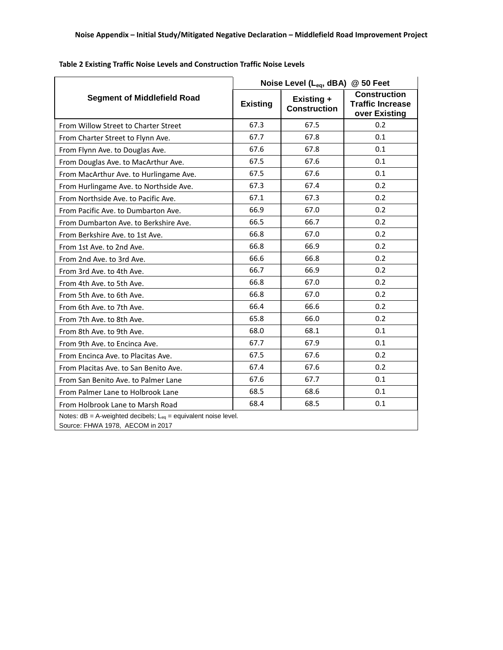|                                                                                                            | Noise Level (L <sub>eg</sub> , dBA)<br>@ 50 Feet |                                   |                                                                 |  |  |  |  |  |
|------------------------------------------------------------------------------------------------------------|--------------------------------------------------|-----------------------------------|-----------------------------------------------------------------|--|--|--|--|--|
| <b>Segment of Middlefield Road</b>                                                                         | <b>Existing</b>                                  | Existing +<br><b>Construction</b> | <b>Construction</b><br><b>Traffic Increase</b><br>over Existing |  |  |  |  |  |
| From Willow Street to Charter Street                                                                       | 67.3                                             | 67.5                              | 0.2                                                             |  |  |  |  |  |
| From Charter Street to Flynn Ave.                                                                          | 67.7                                             | 67.8                              | 0.1                                                             |  |  |  |  |  |
| From Flynn Ave. to Douglas Ave.                                                                            | 67.6                                             | 67.8                              | 0.1                                                             |  |  |  |  |  |
| From Douglas Ave. to MacArthur Ave.                                                                        | 67.5                                             | 67.6                              | 0.1                                                             |  |  |  |  |  |
| From MacArthur Ave. to Hurlingame Ave.                                                                     | 67.5                                             | 67.6                              | 0.1                                                             |  |  |  |  |  |
| From Hurlingame Ave. to Northside Ave.                                                                     | 67.3                                             | 67.4                              | 0.2                                                             |  |  |  |  |  |
| From Northside Ave. to Pacific Ave.                                                                        | 67.1                                             | 67.3                              | 0.2                                                             |  |  |  |  |  |
| From Pacific Ave. to Dumbarton Ave.                                                                        | 66.9                                             | 67.0                              | 0.2                                                             |  |  |  |  |  |
| From Dumbarton Ave. to Berkshire Ave.                                                                      | 66.5                                             | 66.7                              | 0.2                                                             |  |  |  |  |  |
| From Berkshire Ave. to 1st Ave.                                                                            | 66.8                                             | 67.0                              | 0.2                                                             |  |  |  |  |  |
| From 1st Ave. to 2nd Ave.                                                                                  | 66.8                                             | 66.9                              | 0.2                                                             |  |  |  |  |  |
| From 2nd Ave. to 3rd Ave.                                                                                  | 66.6                                             | 66.8                              | 0.2                                                             |  |  |  |  |  |
| From 3rd Ave. to 4th Ave.                                                                                  | 66.7                                             | 66.9                              | 0.2                                                             |  |  |  |  |  |
| From 4th Ave. to 5th Ave.                                                                                  | 66.8                                             | 67.0                              | 0.2                                                             |  |  |  |  |  |
| From 5th Ave. to 6th Ave.                                                                                  | 66.8                                             | 67.0                              | 0.2                                                             |  |  |  |  |  |
| From 6th Ave. to 7th Ave.                                                                                  | 66.4                                             | 66.6                              | 0.2                                                             |  |  |  |  |  |
| From 7th Ave. to 8th Ave.                                                                                  | 65.8                                             | 66.0                              | 0.2                                                             |  |  |  |  |  |
| From 8th Ave. to 9th Ave.                                                                                  | 68.0                                             | 68.1                              | 0.1                                                             |  |  |  |  |  |
| From 9th Ave. to Encinca Ave.                                                                              | 67.7                                             | 67.9                              | 0.1                                                             |  |  |  |  |  |
| From Encinca Ave. to Placitas Ave.                                                                         | 67.5                                             | 67.6                              | 0.2                                                             |  |  |  |  |  |
| From Placitas Ave. to San Benito Ave.                                                                      | 67.4                                             | 67.6                              | 0.2                                                             |  |  |  |  |  |
| From San Benito Ave. to Palmer Lane                                                                        | 67.6                                             | 67.7                              | 0.1                                                             |  |  |  |  |  |
| From Palmer Lane to Holbrook Lane                                                                          | 68.5                                             | 68.6                              | 0.1                                                             |  |  |  |  |  |
| From Holbrook Lane to Marsh Road                                                                           | 68.4                                             | 68.5                              | 0.1                                                             |  |  |  |  |  |
| Notes: $dB = A$ -weighted decibels; $L_{eq} =$ equivalent noise level.<br>Source: FHWA 1978, AECOM in 2017 |                                                  |                                   |                                                                 |  |  |  |  |  |

**Table 2 Existing Traffic Noise Levels and Construction Traffic Noise Levels**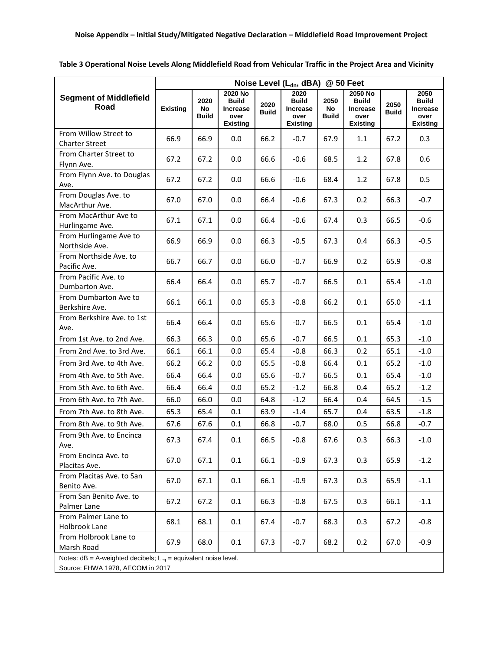|                                                                        | Noise Level (L <sub>dn</sub> , dBA) @ 50 Feet |                            |                                                         |                      |                                                                    |                            |                                                                       |                      |                                                                    |
|------------------------------------------------------------------------|-----------------------------------------------|----------------------------|---------------------------------------------------------|----------------------|--------------------------------------------------------------------|----------------------------|-----------------------------------------------------------------------|----------------------|--------------------------------------------------------------------|
| <b>Segment of Middlefield</b><br>Road                                  | <b>Existing</b>                               | 2020<br>No<br><b>Build</b> | 2020 No<br>Build<br>Increase<br>over<br><b>Existing</b> | 2020<br><b>Build</b> | 2020<br><b>Build</b><br><b>Increase</b><br>over<br><b>Existing</b> | 2050<br>No<br><b>Build</b> | 2050 No<br><b>Build</b><br><b>Increase</b><br>over<br><b>Existing</b> | 2050<br><b>Build</b> | 2050<br><b>Build</b><br><b>Increase</b><br>over<br><b>Existing</b> |
| From Willow Street to<br><b>Charter Street</b>                         | 66.9                                          | 66.9                       | 0.0                                                     | 66.2                 | $-0.7$                                                             | 67.9                       | $1.1\,$                                                               | 67.2                 | 0.3                                                                |
| From Charter Street to<br>Flynn Ave.                                   | 67.2                                          | 67.2                       | 0.0                                                     | 66.6                 | $-0.6$                                                             | 68.5                       | 1.2                                                                   | 67.8                 | 0.6                                                                |
| From Flynn Ave. to Douglas<br>Ave.                                     | 67.2                                          | 67.2                       | 0.0                                                     | 66.6                 | $-0.6$                                                             | 68.4                       | 1.2                                                                   | 67.8                 | 0.5                                                                |
| From Douglas Ave. to<br>MacArthur Ave.                                 | 67.0                                          | 67.0                       | 0.0                                                     | 66.4                 | $-0.6$                                                             | 67.3                       | 0.2                                                                   | 66.3                 | $-0.7$                                                             |
| From MacArthur Ave to<br>Hurlingame Ave.                               | 67.1                                          | 67.1                       | 0.0                                                     | 66.4                 | $-0.6$                                                             | 67.4                       | 0.3                                                                   | 66.5                 | $-0.6$                                                             |
| From Hurlingame Ave to<br>Northside Ave.                               | 66.9                                          | 66.9                       | 0.0                                                     | 66.3                 | $-0.5$                                                             | 67.3                       | 0.4                                                                   | 66.3                 | $-0.5$                                                             |
| From Northside Ave. to<br>Pacific Ave.                                 | 66.7                                          | 66.7                       | 0.0                                                     | 66.0                 | $-0.7$                                                             | 66.9                       | 0.2                                                                   | 65.9                 | $-0.8$                                                             |
| From Pacific Ave. to<br>Dumbarton Ave.                                 | 66.4                                          | 66.4                       | 0.0                                                     | 65.7                 | $-0.7$                                                             | 66.5                       | 0.1                                                                   | 65.4                 | $-1.0$                                                             |
| From Dumbarton Ave to<br>Berkshire Ave.                                | 66.1                                          | 66.1                       | 0.0                                                     | 65.3                 | $-0.8$                                                             | 66.2                       | 0.1                                                                   | 65.0                 | $-1.1$                                                             |
| From Berkshire Ave. to 1st<br>Ave.                                     | 66.4                                          | 66.4                       | 0.0                                                     | 65.6                 | $-0.7$                                                             | 66.5                       | 0.1                                                                   | 65.4                 | $-1.0$                                                             |
| From 1st Ave. to 2nd Ave.                                              | 66.3                                          | 66.3                       | 0.0                                                     | 65.6                 | $-0.7$                                                             | 66.5                       | 0.1                                                                   | 65.3                 | $-1.0$                                                             |
| From 2nd Ave. to 3rd Ave.                                              | 66.1                                          | 66.1                       | 0.0                                                     | 65.4                 | $-0.8$                                                             | 66.3                       | 0.2                                                                   | 65.1                 | $-1.0$                                                             |
| From 3rd Ave. to 4th Ave.                                              | 66.2                                          | 66.2                       | 0.0                                                     | 65.5                 | $-0.8$                                                             | 66.4                       | 0.1                                                                   | 65.2                 | $-1.0$                                                             |
| From 4th Ave. to 5th Ave.                                              | 66.4                                          | 66.4                       | 0.0                                                     | 65.6                 | $-0.7$                                                             | 66.5                       | 0.1                                                                   | 65.4                 | $-1.0$                                                             |
| From 5th Ave. to 6th Ave.                                              | 66.4                                          | 66.4                       | 0.0                                                     | 65.2                 | $-1.2$                                                             | 66.8                       | 0.4                                                                   | 65.2                 | $-1.2$                                                             |
| From 6th Ave. to 7th Ave.                                              | 66.0                                          | 66.0                       | 0.0                                                     | 64.8                 | $-1.2$                                                             | 66.4                       | 0.4                                                                   | 64.5                 | $-1.5$                                                             |
| From 7th Ave. to 8th Ave.                                              | 65.3                                          | 65.4                       | 0.1                                                     | 63.9                 | $-1.4$                                                             | 65.7                       | 0.4                                                                   | 63.5                 | $-1.8$                                                             |
| From 8th Ave. to 9th Ave.                                              | 67.6                                          | 67.6                       | 0.1                                                     | 66.8                 | $-0.7$                                                             | 68.0                       | 0.5                                                                   | 66.8                 | $-0.7$                                                             |
| From 9th Ave. to Encinca<br>Ave.                                       | 67.3                                          | 67.4                       | 0.1                                                     | 66.5                 | $-0.8$                                                             | 67.6                       | 0.3                                                                   | 66.3                 | $-1.0$                                                             |
| From Encinca Ave. to<br>Placitas Ave.                                  | 67.0                                          | 67.1                       | 0.1                                                     | 66.1                 | $-0.9$                                                             | 67.3                       | 0.3                                                                   | 65.9                 | $-1.2$                                                             |
| From Placitas Ave. to San<br>Benito Ave.                               | 67.0                                          | 67.1                       | 0.1                                                     | 66.1                 | $-0.9$                                                             | 67.3                       | 0.3                                                                   | 65.9                 | $-1.1$                                                             |
| From San Benito Ave. to<br>Palmer Lane                                 | 67.2                                          | 67.2                       | 0.1                                                     | 66.3                 | $-0.8$                                                             | 67.5                       | 0.3                                                                   | 66.1                 | $-1.1$                                                             |
| From Palmer Lane to<br>Holbrook Lane                                   | 68.1                                          | 68.1                       | 0.1                                                     | 67.4                 | $-0.7$                                                             | 68.3                       | 0.3                                                                   | 67.2                 | $-0.8$                                                             |
| From Holbrook Lane to<br>Marsh Road                                    | 67.9                                          | 68.0                       | 0.1                                                     | 67.3                 | $-0.7$                                                             | 68.2                       | 0.2                                                                   | 67.0                 | $-0.9$                                                             |
| Notes: $dB = A$ -weighted decibels; $L_{eq} =$ equivalent noise level. |                                               |                            |                                                         |                      |                                                                    |                            |                                                                       |                      |                                                                    |

**Table 3 Operational Noise Levels Along Middlefield Road from Vehicular Traffic in the Project Area and Vicinity**

Source: FHWA 1978, AECOM in 2017